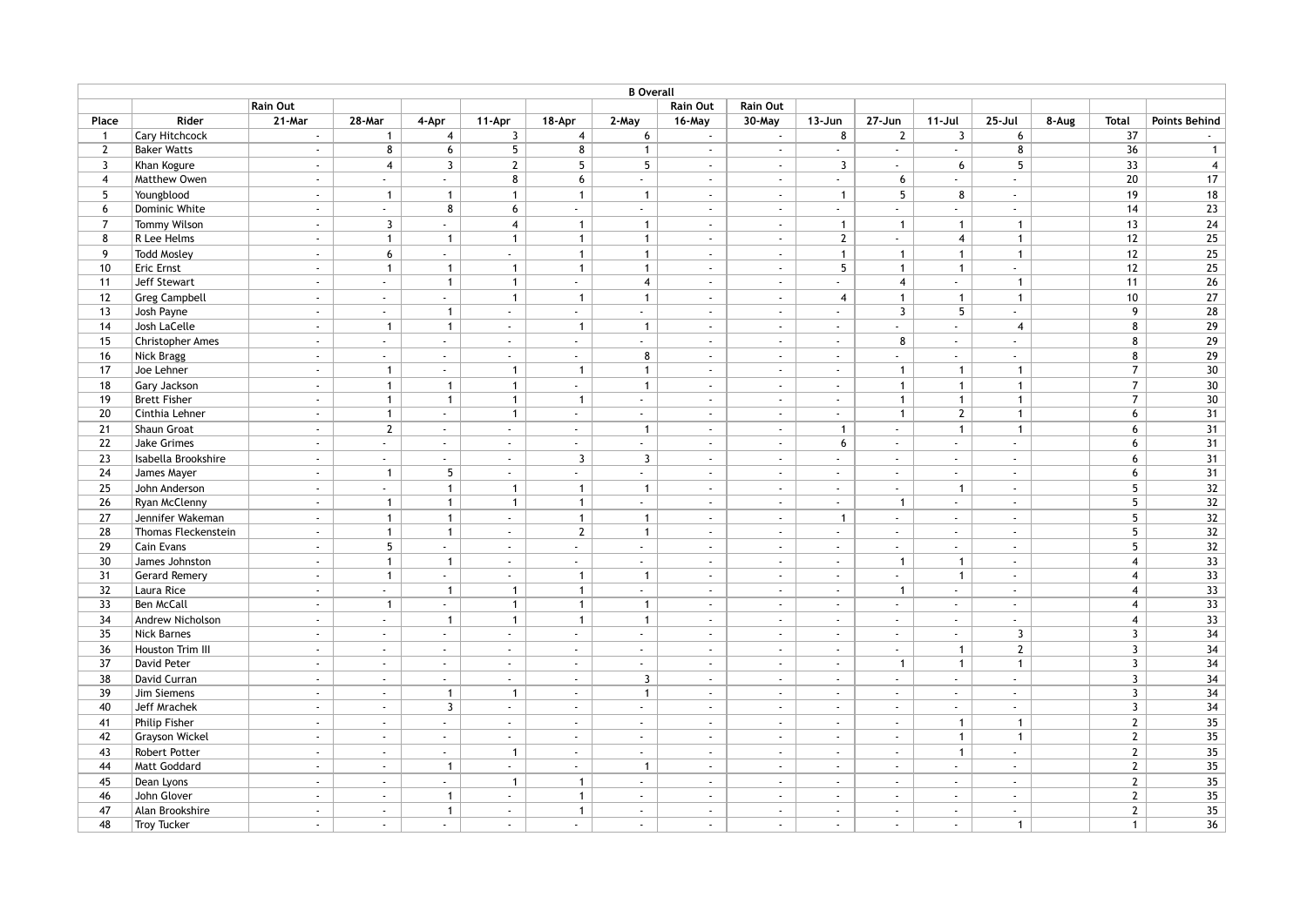| <b>B</b> Overall |                       |                |                           |                           |                       |                             |                  |                  |                             |                             |                |                             |                           |       |                 |                      |
|------------------|-----------------------|----------------|---------------------------|---------------------------|-----------------------|-----------------------------|------------------|------------------|-----------------------------|-----------------------------|----------------|-----------------------------|---------------------------|-------|-----------------|----------------------|
|                  |                       | Rain Out       |                           |                           |                       |                             |                  | Rain Out         | Rain Out                    |                             |                |                             |                           |       |                 |                      |
| Place            | Rider                 | 21-Mar         | 28-Mar                    | 4-Apr                     | 11-Apr                | 18-Apr                      | 2-May            | 16-May           | 30-May                      | $13 - Jun$                  | 27-Jun         | 11-Jul                      | $25 -$ Jul                | 8-Aug | <b>Total</b>    | <b>Points Behind</b> |
| $\mathbf{1}$     | Cary Hitchcock        | $\mathbf{r}$   | $\mathbf{1}$              | $\overline{4}$            | 3                     | $\overline{4}$              | 6                | $\omega_{\rm c}$ | $\sim$                      | 8                           | $\overline{2}$ | $\overline{3}$              | 6                         |       | 37              |                      |
| $\overline{2}$   | <b>Baker Watts</b>    | $\sim$         | 8                         | 6                         | 5                     | 8                           | $\mathbf{1}$     | $\omega$ .       | $\mathcal{L}$               | $\sim$                      | $\sim$         | $\omega_{\rm c}$            | 8                         |       | 36              | $\overline{1}$       |
| $\mathbf{3}$     | Khan Kogure           | $\sim$         | $\overline{4}$            | $\mathbf{3}$              | $\mathbf{2}$          | 5 <sup>1</sup>              | $5\overline{)}$  | $\omega$ .       | $\sim$                      | $\overline{3}$              | $\mathbb{Z}^2$ | 6                           | 5                         |       | 33              | $\overline{4}$       |
| $\overline{4}$   | Matthew Owen          | $\sim$         | $\omega_{\rm c}$          | $\omega_{\rm c}$          | 8                     | 6                           | ÷.               | $\blacksquare$   | $\sim$                      | $\sim$                      | 6              | $\sim$                      | $\mathbb{Z}^{\mathbb{Z}}$ |       | 20              | $17$                 |
| 5                | Youngblood            | $\overline{a}$ | $\mathbf{1}$              | $\mathbf{1}$              | $\mathbf{1}$          | $\mathbf{1}$                | $\mathbf{1}$     | $\omega$         | $\sim$                      | $\mathbf{1}$                | 5              | 8                           | $\omega$                  |       | 19              | $18$                 |
| 6                | Dominic White         | $\omega$       | $\omega_{\rm{eff}}$       | 8                         | 6                     | $\sim$                      | $\omega_{\rm c}$ | $\omega_{\rm c}$ | $\omega$                    | $\omega_{\rm c}$            | $\sim$         | $\sim$                      | $\mathbb{Z}^{\mathbb{Z}}$ |       | 14              | 23                   |
| $\overline{7}$   | <b>Tommy Wilson</b>   | $\sim$         | $\overline{3}$            | $\omega$                  | $\overline{4}$        | $\mathbf{1}$                | $\mathbf{1}$     | $\omega$ .       | $\mathcal{L}_{\mathcal{A}}$ | $\mathbf{1}$                | $\overline{1}$ | $\mathbf{1}$                | $\mathbf{1}$              |       | 13              | 24                   |
| 8                | R Lee Helms           | $\sim$         | $\mathbf{1}$              | $\mathbf{1}$              | $\mathbf{1}$          | $\mathbf{1}$                | $\mathbf{1}$     | $\omega_{\rm c}$ | $\sim$                      | $\mathbf{2}$                | $\omega$       | $\overline{4}$              | $\mathbf{1}$              |       | 12              | 25                   |
| 9                | <b>Todd Mosley</b>    | $\blacksquare$ | $6\phantom{a}$            | $\omega_{\rm{eff}}$       | $\mathbb{Z}^{\times}$ | $\mathbf{1}$                | $\mathbf{1}$     | $\omega$         | $\sim$                      | $\mathbf{1}$                | $\overline{1}$ | $\mathbf{1}$                | $\mathbf{1}$              |       | 12              | 25                   |
| 10               | <b>Eric Ernst</b>     | $\sim$         | $\mathbf{1}$              | $\mathbf{1}$              | $\mathbf{1}$          | $\mathbf{1}$                | $\mathbf{1}$     | $\omega$ .       | $\sim$                      | 5 <sup>5</sup>              | $\overline{1}$ | $\mathbf{1}$                | $\Delta \phi$             |       | 12              | 25                   |
| 11               | Jeff Stewart          | $\mathcal{L}$  | $\omega$                  | $\mathbf{1}$              | $\mathbf{1}$          | $\omega$                    | $\overline{4}$   | $\omega$ .       | $\omega$                    | $\mathcal{L}$               | $\overline{4}$ | $\mathbb{Z}^{\times}$       | $\mathbf{1}$              |       | 11              | 26                   |
| 12               | <b>Greg Campbell</b>  | $\omega$       | $\mathbb{Z}^{\mathbb{Z}}$ | $\mathbb{Z}^{\mathbb{Z}}$ | $\mathbf{1}$          | $\mathbf{1}$                | $\mathbf{1}$     | $\omega$         | $\omega$                    | $\overline{4}$              | $\overline{1}$ | $\mathbf{1}$                | $\mathbf{1}$              |       | 10 <sup>1</sup> | $\overline{27}$      |
| 13               | Josh Payne            | $\blacksquare$ | $\sim$                    | $\mathbf{1}$              | $\omega$              | $\blacksquare$              | ÷.               | $\omega$         | $\sim$                      | $\omega$                    | $\overline{3}$ | 5                           | $\mathbb{Z}^{\mathbb{Z}}$ |       | 9               | 28                   |
| 14               | Josh LaCelle          | $\blacksquare$ | $\mathbf{1}$              | $\mathbf{1}$              | $\sim$                | $\mathbf{1}$                | $\mathbf{1}$     | $\omega$         | $\sim$                      | $\omega$                    | $\mathbf{r}$   | $\omega$                    | $\overline{4}$            |       | 8               | 29                   |
| 15               | Christopher Ames      | $\mathbb{Z}^2$ | $\sim$                    | $\omega_{\rm c}$          | $\sim$                | $\mathbb{Z}^+$              | ÷.               | $\omega$ .       | $\mathcal{L}_{\mathcal{A}}$ | $\mathcal{L}_{\mathcal{A}}$ | 8              | $\omega$ .                  | $\sim$                    |       | 8               | $\overline{29}$      |
| 16               | Nick Bragg            | $\sim$         | $\omega_{\rm c}$          | $\mathbb{Z}^{\mathbb{Z}}$ | $\omega$              | $\mathcal{L}_{\mathcal{A}}$ | 8                | $\omega$ .       | $\sim$                      | $\omega$                    | $\mathcal{L}$  | ÷.                          | $\omega$                  |       | 8               | 29                   |
| 17               | Joe Lehner            | $\sim$         | $\mathbf{1}$              | $\sim$                    | $\overline{1}$        | $\mathbf{1}$                | $\mathbf{1}$     | $\omega$         | $\mathcal{L}_{\mathcal{A}}$ | $\mathcal{L}_{\mathcal{A}}$ | $\overline{1}$ | $\overline{1}$              | $\mathbf{1}$              |       | $\overline{7}$  | 30                   |
| 18               | Gary Jackson          | $\sim$         | $\mathbf{1}$              | $\mathbf{1}$              | $\mathbf{1}$          | $\mathcal{L}_{\mathcal{A}}$ | $\mathbf{1}$     | $\omega$ .       | $\Delta$                    | $\omega$                    | $\overline{1}$ | $\mathbf{1}$                | $\mathbf{1}$              |       | $\overline{7}$  | 30                   |
| 19               | <b>Brett Fisher</b>   | $\sim$         | $\mathbf{1}$              | $\mathbf{1}$              | $\mathbf{1}$          | $\mathbf{1}$                | $\sim$           | $\sim$           | $\sim$                      | $\sim$                      | $\mathbf{1}$   | $\mathbf{1}$                | $\mathbf{1}$              |       | $\overline{7}$  | 30                   |
| 20               | Cinthia Lehner        | $\blacksquare$ | $\mathbf{1}$              | $\omega_{\rm c}$          | $\mathbf{1}$          | $\blacksquare$              | $\sim$           | $\sim$           | $\sim$                      | $\sim$                      | $\overline{1}$ | $\mathbf{2}$                | $\mathbf{1}$              |       | 6               | 31                   |
| 21               | Shaun Groat           | $\sim$         | $\mathbf{2}$              | $\omega_{\rm{eff}}$       | $\sim$                | $\sim$                      | $\mathbf{1}$     | $\omega$         | $\sim$                      | $\mathbf{1}$                | $\mathbb{Z}^2$ | $\overline{1}$              | $\mathbf{1}$              |       | 6               | 31                   |
| 22               | Jake Grimes           | $\blacksquare$ | $\sim$                    | $\sim$                    | $\sim$                | $\blacksquare$              | $\sim$           | $\omega$         | $\omega$                    | 6                           | $\blacksquare$ | $\sim$                      | $\mathbb{Z}^{\mathbb{Z}}$ |       | 6               | $\overline{31}$      |
| 23               | Isabella Brookshire   | $\sim$         | $\sim$                    | $\mathbb{Z}^{\mathbb{Z}}$ | $\sim$                | $\mathbf{3}$                | $\overline{3}$   | $\omega_{\rm c}$ | $\sim$                      | $\sim$                      | $\sim$         | $\sim$                      | $\sim$                    |       | 6               | 31                   |
| 24               | James Mayer           | $\mathbb{Z}^2$ | $\mathbf{1}$              | $\overline{5}$            | $\sim$                | $\mathcal{L}_{\mathcal{A}}$ | ä,               | $\omega$         | $\sim$                      | $\sim$                      | $\mathbb{Z}^2$ | $\mathcal{L}_{\mathcal{A}}$ | $\omega$                  |       | 6               | 31                   |
| 25               | John Anderson         | $\mathbb{Z}^2$ | $\Delta \phi$             | $\mathbf{1}$              | $\overline{1}$        | $\mathbf{1}$                | $\mathbf{1}$     | $\omega$ .       | $\sim$                      | $\sim$                      | $\sim$         | $\overline{1}$              | $\omega$                  |       | 5               | 32                   |
| 26               | Ryan McClenny         | $\blacksquare$ | $\mathbf{1}$              | $\mathbf{1}$              | $\mathbf{1}$          | $\mathbf{1}$                | ÷.               | $\omega$         | $\omega$                    | $\omega$                    | $\overline{1}$ | $\blacksquare$              | $\omega$                  |       | 5               | 32                   |
| 27               | Jennifer Wakeman      | $\Box$         | $\mathbf{1}$              | $\mathbf{1}$              | $\sim$                | $\mathbf{1}$                | $\mathbf{1}$     | $\omega$         | $\blacksquare$              | $\mathbf{1}$                | $\omega$       | $\omega$                    | $\omega$                  |       | 5               | 32                   |
| 28               | Thomas Fleckenstein   | $\mathbb{Z}^2$ | $\mathbf{1}$              | $\mathbf{1}$              | $\sim$                | $\mathbf{2}$                | $\mathbf{1}$     | $\sim$           | $\sim$                      | $\sim$                      | $\sim$         | $\sim$                      | $\sim$                    |       | 5               | 32                   |
| 29               | Cain Evans            | $\mathcal{L}$  | $5\phantom{.0}$           | $\mathbb{Z}^{\mathbb{Z}}$ | $\omega$              | $\mathcal{L}$               | ä,               | $\omega$ .       | $\omega$                    | $\omega$                    | $\sim$         | $\mathbb{Z}^{\mathbb{Z}}$   | $\omega$                  |       | 5               | 32                   |
| 30               | James Johnston        | $\mathbb{Z}^2$ | $\mathbf{1}$              | $\mathbf{1}$              | $\omega$ .            | $\sim$                      | $\sim$           | $\omega$         | $\sim$                      | $\sim$                      | $\overline{1}$ | $\overline{1}$              | $\omega$                  |       | $\overline{4}$  | 33                   |
| 31               | <b>Gerard Remery</b>  | $\sim$         | $\mathbf{1}$              | $\mathbb{Z}^{\mathbb{Z}}$ | $\sim$                | $\mathbf{1}$                | $\mathbf{1}$     | $\blacksquare$   | $\omega$                    | $\sim$                      | $\blacksquare$ | $\overline{1}$              | $\omega$                  |       | $\overline{4}$  | $\overline{33}$      |
| 32               | Laura Rice            | $\sim$         | $\omega_{\rm c}$          | $\mathbf{1}$              | $\overline{1}$        | $\mathbf{1}$                | ÷.               | $\omega$         | $\sim$                      | $\sim$                      | $\overline{1}$ | $\sim$                      | $\sim$                    |       | $\overline{4}$  | $\overline{33}$      |
| 33               | <b>Ben McCall</b>     | $\sim$         | $\mathbf{1}$              | $\sim$                    | $\overline{1}$        | $\mathbf{1}$                | $\mathbf{1}$     | $\sim$           | $\sim$                      | $\sim$                      | $\sim$         | $\sim$                      | $\sim$                    |       | $\overline{4}$  | $\overline{33}$      |
| 34               | Andrew Nicholson      | $\mathcal{L}$  | $\mathbb{Z}^{\mathbb{Z}}$ | $\overline{1}$            | $\mathbf{1}$          | $\mathbf{1}$                | $\mathbf{1}$     | $\omega$         | $\sim$                      | $\omega$                    | $\sim$         | $\sim$                      | $\omega$                  |       | $\overline{4}$  | 33                   |
| 35               | <b>Nick Barnes</b>    | $\blacksquare$ | $\sim$                    | $\sim$                    | $\sim$                | $\sim$                      | $\sim$           | $\omega$         | $\sim$                      | $\sim$                      | $\sim$         | $\sim$                      | $\overline{3}$            |       | $\mathbf{3}$    | 34                   |
| 36               | Houston Trim III      | $\sim$         | $\sim$                    | $\sim$                    | $\sim$                | $\sim$                      | $\omega$ .       | $\omega$         | $\sim$                      | $\omega$                    | $\blacksquare$ | $\mathbf{1}$                | $\mathbf{2}$              |       | $\overline{3}$  | 34                   |
| 37               | David Peter           | $\sim$         | $\sim$                    | $\sim$                    | $\sim$                | $\sim$                      | $\sim$           | $\omega$         | $\sim$                      | $\sim$                      | $\overline{1}$ | $\mathbf{1}$                | $\mathbf{1}$              |       | $\mathbf{3}$    | 34                   |
| 38               | David Curran          | $\sim$         | $\sim$                    | $\omega_{\rm c}$          | $\sim$                | $\sim$                      | $\mathbf{3}$     | $\omega$ .       | $\sim$                      | $\sim$                      | $\sim$         | $\sim$                      | $\omega_{\rm c}$          |       | $\overline{3}$  | 34                   |
| 39               | Jim Siemens           | $\mathcal{L}$  | $\sim$                    | $\mathbf{1}$              | $\overline{1}$        | $\sim$                      | $\mathbf{1}$     | $\omega$ .       | $\sim$                      | $\sim$                      | $\sim$         | $\mathbb{Z}^{\mathbb{Z}}$   | $\omega_{\rm c}$          |       | $\overline{3}$  | 34                   |
| 40               | Jeff Mrachek          | $\sim$         | $\omega$                  | 3                         | $\sim$                | $\mathcal{L}_{\mathcal{A}}$ | $\sim$           | $\omega$         | $\sim$                      | $\omega$                    | $\sim$         | $\mathbb{Z}^{\times}$       | $\omega$                  |       | 3               | 34                   |
| 41               | Philip Fisher         | $\mathbf{r}$   | $\sim$                    | $\sim$                    | $\sim$                | $\mathbf{r}$                | $\mathbf{r}$     | $\omega$         | $\sim$                      | $\mathbf{r}$                | $\blacksquare$ | $\overline{1}$              | $\mathbf{1}$              |       | $\mathbf{2}$    | 35                   |
| 42               | <b>Grayson Wickel</b> | $\mathbb{Z}^2$ | $\sim$                    | $\omega_{\rm c}$          | $\omega$ .            | $\mathcal{L}_{\mathcal{A}}$ | $\omega$ .       | $\omega$         | $\sim$                      | $\omega$                    | $\mathbb{Z}^2$ | $\mathbf{1}$                | $\mathbf{1}$              |       | $\overline{2}$  | $\overline{35}$      |
| 43               | Robert Potter         | $\omega$       | $\sim$                    | $\mathbb{Z}^{\mathbb{Z}}$ | $\overline{1}$        | $\sim$                      | $\sim$           | $\omega$         | $\sim$                      | $\sim$                      | $\sim$         | $\overline{1}$              | $\omega$                  |       | $\overline{2}$  | 35                   |
| 44               | Matt Goddard          | $\sim$         | $\sim$                    | $\mathbf{1}$              | $\sim$                | $\mathcal{L}_{\mathcal{A}}$ | $\mathbf{1}$     | $\omega$         | $\sim$                      | $\sim$                      | $\sim$         | $\sim$                      | $\omega$                  |       | $\mathbf{2}$    | $\overline{35}$      |
| 45               | Dean Lyons            | $\sim$         | $\sim$                    | $\omega_{\rm c}$          | $\overline{1}$        | $\mathbf{1}$                | $\blacksquare$   | $\sim$           | $\sim$                      | $\sim$                      | $\sim$         | $\omega$                    | $\omega$                  |       | $\overline{2}$  | 35                   |
| 46               | John Glover           | $\mathbf{r}$   | $\sim$                    | $\mathbf{1}$              | $\sim$                | $\mathbf{1}$                | ÷.               | $\sim$           | $\sim$                      | $\sim$                      | $\sim$         | $\sim$                      | $\sim$                    |       | $\mathbf{2}$    | 35                   |
| 47               | Alan Brookshire       | $\mathcal{L}$  | $\sim$                    | $\mathbf{1}$              | $\sim$                | $\mathbf{1}$                | ÷.               | $\omega$         | $\omega$                    | $\sim$                      | $\sim$         | $\omega$                    | $\omega_{\rm c}$          |       | $\overline{2}$  | 35                   |
| 48               | <b>Troy Tucker</b>    | $\mathbf{r}$   | $\sim$                    | $\omega_{\rm c}$          | $\sim$                | $\blacksquare$              | $\blacksquare$   | $\sim$           | $\sim$                      | $\mathbf{r}$                | $\sim$         | $\sim$                      | $\mathbf{1}$              |       | $\mathbf{1}$    | 36                   |